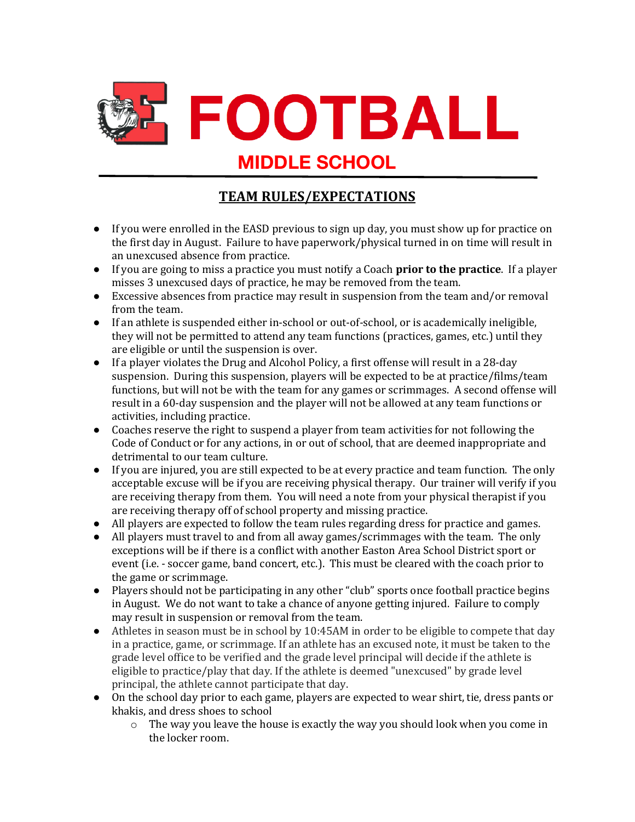

## **TEAM RULES/EXPECTATIONS**

- If you were enrolled in the EASD previous to sign up day, you must show up for practice on the first day in August. Failure to have paperwork/physical turned in on time will result in an unexcused absence from practice.
- **•** If you are going to miss a practice you must notify a Coach **prior to the practice**. If a player misses 3 unexcused days of practice, he may be removed from the team.
- Excessive absences from practice may result in suspension from the team and/or removal from the team.
- If an athlete is suspended either in-school or out-of-school, or is academically ineligible, they will not be permitted to attend any team functions (practices, games, etc.) until they are eligible or until the suspension is over.
- $\bullet$  If a player violates the Drug and Alcohol Policy, a first offense will result in a 28-day suspension. During this suspension, players will be expected to be at practice/films/team functions, but will not be with the team for any games or scrimmages. A second offense will result in a 60-day suspension and the player will not be allowed at any team functions or activities, including practice.
- Coaches reserve the right to suspend a player from team activities for not following the Code of Conduct or for any actions, in or out of school, that are deemed inappropriate and detrimental to our team culture.
- If you are injured, you are still expected to be at every practice and team function. The only acceptable excuse will be if you are receiving physical therapy. Our trainer will verify if you are receiving therapy from them. You will need a note from your physical therapist if you are receiving therapy off of school property and missing practice.
- All players are expected to follow the team rules regarding dress for practice and games.
- All players must travel to and from all away games/scrimmages with the team. The only exceptions will be if there is a conflict with another Easton Area School District sport or event (i.e. - soccer game, band concert, etc.). This must be cleared with the coach prior to the game or scrimmage.
- Players should not be participating in any other "club" sports once football practice begins in August. We do not want to take a chance of anyone getting injured. Failure to comply may result in suspension or removal from the team.
- $\bullet$  Athletes in season must be in school by 10:45AM in order to be eligible to compete that day in a practice, game, or scrimmage. If an athlete has an excused note, it must be taken to the grade level office to be verified and the grade level principal will decide if the athlete is eligible to practice/play that day. If the athlete is deemed "unexcused" by grade level principal, the athlete cannot participate that day.
- On the school day prior to each game, players are expected to wear shirt, tie, dress pants or khakis, and dress shoes to school
	- $\circ$  The way you leave the house is exactly the way you should look when you come in the locker room.